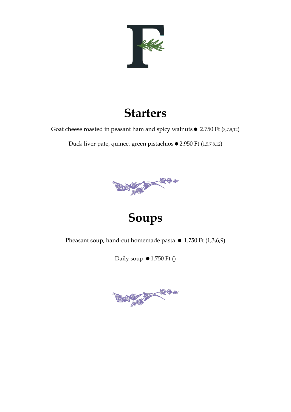

## **Starters**

Goat cheese roasted in peasant ham and spicy walnuts  $\bullet$  2.750 Ft (3,7,8,12)

Duck liver pate, quince, green pistachios ● 2.950 Ft (1,5,7,8,12)



## **Soups**

Pheasant soup, hand-cut homemade pasta  $\bullet$  1.750 Ft (1,3,6,9)

Daily soup  $\bullet$  1.750 Ft ()